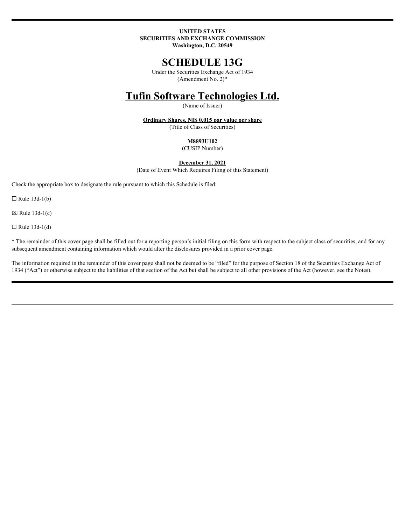# **UNITED STATES SECURITIES AND EXCHANGE COMMISSION**

**Washington, D.C. 20549**

# **SCHEDULE 13G**

Under the Securities Exchange Act of 1934 (Amendment No. 2)\*

# **Tufin Software Technologies Ltd.**

(Name of Issuer)

**Ordinary Shares, NIS 0.015 par value per share** (Title of Class of Securities)

# **M8893U102**

(CUSIP Number)

# **December 31, 2021**

(Date of Event Which Requires Filing of this Statement)

Check the appropriate box to designate the rule pursuant to which this Schedule is filed:

 $\Box$  Rule 13d-1(b)

 $\boxtimes$  Rule 13d-1(c)

 $\Box$  Rule 13d-1(d)

\* The remainder of this cover page shall be filled out for a reporting person's initial filing on this form with respect to the subject class of securities, and for any subsequent amendment containing information which would alter the disclosures provided in a prior cover page.

The information required in the remainder of this cover page shall not be deemed to be "filed" for the purpose of Section 18 of the Securities Exchange Act of 1934 ("Act") or otherwise subject to the liabilities of that section of the Act but shall be subject to all other provisions of the Act (however, see the Notes).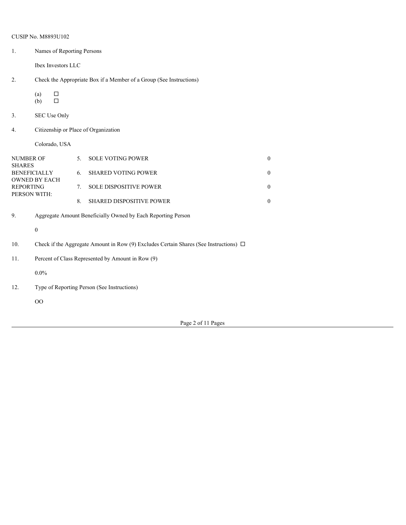|                  | CUSIP No. M8893U102                                                                        |    |                          |                  |  |  |
|------------------|--------------------------------------------------------------------------------------------|----|--------------------------|------------------|--|--|
| 1.               | Names of Reporting Persons                                                                 |    |                          |                  |  |  |
|                  | Ibex Investors LLC                                                                         |    |                          |                  |  |  |
| 2.               | Check the Appropriate Box if a Member of a Group (See Instructions)                        |    |                          |                  |  |  |
|                  | $\Box$<br>(a)<br>$\Box$<br>(b)                                                             |    |                          |                  |  |  |
| 3.               | SEC Use Only                                                                               |    |                          |                  |  |  |
| 4.               | Citizenship or Place of Organization                                                       |    |                          |                  |  |  |
|                  | Colorado, USA                                                                              |    |                          |                  |  |  |
| <b>NUMBER OF</b> |                                                                                            | 5. | <b>SOLE VOTING POWER</b> | $\boldsymbol{0}$ |  |  |
| <b>SHARES</b>    | <b>BENEFICIALLY</b>                                                                        |    | 6. SHARED VOTING POWER   | $\overline{0}$   |  |  |
| <b>REPORTING</b> | OWNED BY EACH                                                                              | 7. | SOLE DISPOSITIVE POWER   | $\overline{0}$   |  |  |
| PERSON WITH:     |                                                                                            | 8. | SHARED DISPOSITIVE POWER | $\boldsymbol{0}$ |  |  |
| 9.               | Aggregate Amount Beneficially Owned by Each Reporting Person                               |    |                          |                  |  |  |
|                  | $\boldsymbol{0}$                                                                           |    |                          |                  |  |  |
| 10.              | Check if the Aggregate Amount in Row (9) Excludes Certain Shares (See Instructions) $\Box$ |    |                          |                  |  |  |
| 11.              | Percent of Class Represented by Amount in Row (9)                                          |    |                          |                  |  |  |
|                  | $0.0\%$                                                                                    |    |                          |                  |  |  |
| 12.              | Type of Reporting Person (See Instructions)                                                |    |                          |                  |  |  |
|                  | $00\,$                                                                                     |    |                          |                  |  |  |
|                  |                                                                                            |    |                          |                  |  |  |

Page 2 of 11 Pages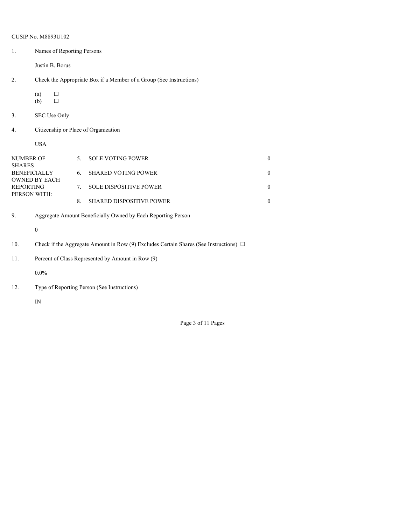|                  | <b>CUSIP No. M8893U102</b>                                                                 |    |                                                                     |                  |  |  |
|------------------|--------------------------------------------------------------------------------------------|----|---------------------------------------------------------------------|------------------|--|--|
| 1.               | Names of Reporting Persons                                                                 |    |                                                                     |                  |  |  |
|                  | Justin B. Borus                                                                            |    |                                                                     |                  |  |  |
| 2.               |                                                                                            |    | Check the Appropriate Box if a Member of a Group (See Instructions) |                  |  |  |
|                  | $\Box$<br>(a)<br>$\Box$<br>(b)                                                             |    |                                                                     |                  |  |  |
| 3.               | SEC Use Only                                                                               |    |                                                                     |                  |  |  |
| 4.               | Citizenship or Place of Organization                                                       |    |                                                                     |                  |  |  |
|                  | <b>USA</b>                                                                                 |    |                                                                     |                  |  |  |
| <b>NUMBER OF</b> |                                                                                            |    | 5. SOLE VOTING POWER                                                | $\boldsymbol{0}$ |  |  |
| <b>SHARES</b>    | <b>BENEFICIALLY</b>                                                                        |    | 6. SHARED VOTING POWER                                              | $\boldsymbol{0}$ |  |  |
| <b>REPORTING</b> | OWNED BY EACH                                                                              | 7. | SOLE DISPOSITIVE POWER                                              | $\boldsymbol{0}$ |  |  |
|                  | PERSON WITH:                                                                               | 8. | SHARED DISPOSITIVE POWER                                            | $\boldsymbol{0}$ |  |  |
| 9.               | Aggregate Amount Beneficially Owned by Each Reporting Person                               |    |                                                                     |                  |  |  |
|                  | $\boldsymbol{0}$                                                                           |    |                                                                     |                  |  |  |
| 10.              | Check if the Aggregate Amount in Row (9) Excludes Certain Shares (See Instructions) $\Box$ |    |                                                                     |                  |  |  |
| 11.              | Percent of Class Represented by Amount in Row (9)                                          |    |                                                                     |                  |  |  |
|                  | $0.0\%$                                                                                    |    |                                                                     |                  |  |  |
| 12.              | Type of Reporting Person (See Instructions)                                                |    |                                                                     |                  |  |  |
|                  | ${\rm IN}$                                                                                 |    |                                                                     |                  |  |  |
|                  |                                                                                            |    |                                                                     |                  |  |  |

Page 3 of 11 Pages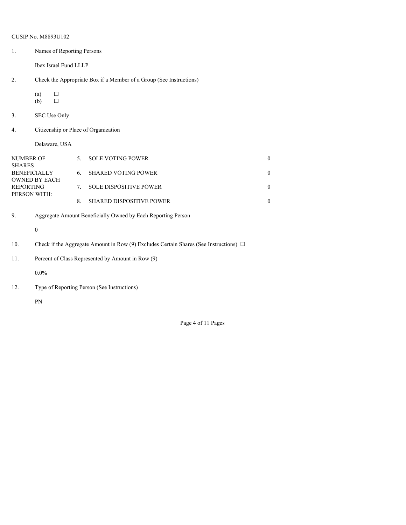|                                  | <b>CUSIP No. M8893U102</b>                                                                 |    |                          |                  |  |  |
|----------------------------------|--------------------------------------------------------------------------------------------|----|--------------------------|------------------|--|--|
| 1.                               | Names of Reporting Persons                                                                 |    |                          |                  |  |  |
|                                  | Ibex Israel Fund LLLP                                                                      |    |                          |                  |  |  |
| 2.                               | Check the Appropriate Box if a Member of a Group (See Instructions)                        |    |                          |                  |  |  |
|                                  | $\Box$<br>(a)<br>$\Box$<br>(b)                                                             |    |                          |                  |  |  |
| 3.                               | SEC Use Only                                                                               |    |                          |                  |  |  |
| 4.                               | Citizenship or Place of Organization                                                       |    |                          |                  |  |  |
|                                  | Delaware, USA                                                                              |    |                          |                  |  |  |
| NUMBER OF<br><b>SHARES</b>       |                                                                                            | 5. | <b>SOLE VOTING POWER</b> | $\boldsymbol{0}$ |  |  |
|                                  | <b>BENEFICIALLY</b>                                                                        |    | 6. SHARED VOTING POWER   | $\boldsymbol{0}$ |  |  |
| <b>REPORTING</b><br>PERSON WITH: | OWNED BY EACH                                                                              | 7. | SOLE DISPOSITIVE POWER   | $\boldsymbol{0}$ |  |  |
|                                  |                                                                                            | 8. | SHARED DISPOSITIVE POWER | $\boldsymbol{0}$ |  |  |
| 9.                               | Aggregate Amount Beneficially Owned by Each Reporting Person                               |    |                          |                  |  |  |
|                                  | $\boldsymbol{0}$                                                                           |    |                          |                  |  |  |
| 10.                              | Check if the Aggregate Amount in Row (9) Excludes Certain Shares (See Instructions) $\Box$ |    |                          |                  |  |  |
| 11.                              | Percent of Class Represented by Amount in Row (9)                                          |    |                          |                  |  |  |
|                                  | $0.0\%$                                                                                    |    |                          |                  |  |  |
| 12.                              | Type of Reporting Person (See Instructions)                                                |    |                          |                  |  |  |
|                                  | ${\rm PN}$                                                                                 |    |                          |                  |  |  |
|                                  |                                                                                            |    |                          |                  |  |  |

Page 4 of 11 Pages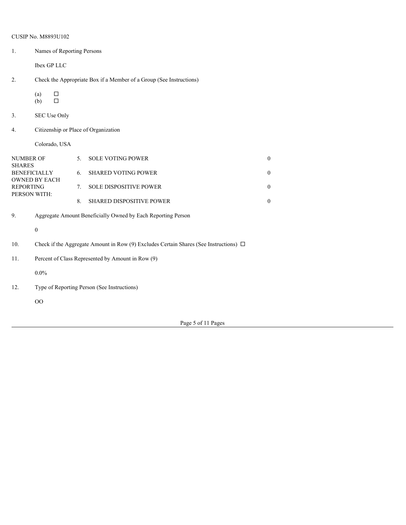|                            | <b>CUSIP No. M8893U102</b>                                                                 |    |                            |                  |  |  |
|----------------------------|--------------------------------------------------------------------------------------------|----|----------------------------|------------------|--|--|
| $\mathbf{1}$ .             | Names of Reporting Persons                                                                 |    |                            |                  |  |  |
|                            | Ibex GP LLC                                                                                |    |                            |                  |  |  |
| 2.                         | Check the Appropriate Box if a Member of a Group (See Instructions)                        |    |                            |                  |  |  |
|                            | $\Box$<br>(a)<br>$\Box$<br>(b)                                                             |    |                            |                  |  |  |
| 3.                         | SEC Use Only                                                                               |    |                            |                  |  |  |
| 4.                         | Citizenship or Place of Organization                                                       |    |                            |                  |  |  |
|                            | Colorado, USA                                                                              |    |                            |                  |  |  |
| NUMBER OF<br><b>SHARES</b> |                                                                                            | 5. | <b>SOLE VOTING POWER</b>   | $\boldsymbol{0}$ |  |  |
|                            | <b>BENEFICIALLY</b><br><b>OWNED BY EACH</b>                                                | 6. | <b>SHARED VOTING POWER</b> | $\mathbf{0}$     |  |  |
| <b>REPORTING</b>           | PERSON WITH:                                                                               | 7. | SOLE DISPOSITIVE POWER     | $\mathbf{0}$     |  |  |
|                            |                                                                                            | 8. | SHARED DISPOSITIVE POWER   | $\bf{0}$         |  |  |
| 9.                         | Aggregate Amount Beneficially Owned by Each Reporting Person                               |    |                            |                  |  |  |
|                            | $\boldsymbol{0}$                                                                           |    |                            |                  |  |  |
| 10.                        | Check if the Aggregate Amount in Row (9) Excludes Certain Shares (See Instructions) $\Box$ |    |                            |                  |  |  |
| 11.                        | Percent of Class Represented by Amount in Row (9)                                          |    |                            |                  |  |  |
|                            | $0.0\%$                                                                                    |    |                            |                  |  |  |
| 12.                        | Type of Reporting Person (See Instructions)                                                |    |                            |                  |  |  |
|                            | OO                                                                                         |    |                            |                  |  |  |
|                            |                                                                                            |    |                            |                  |  |  |

Page 5 of 11 Pages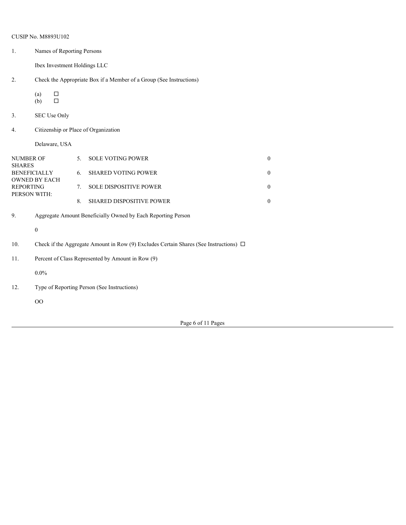|                                   | CUSIP No. M8893U102                                                                        |    |                           |                  |  |  |
|-----------------------------------|--------------------------------------------------------------------------------------------|----|---------------------------|------------------|--|--|
| 1.                                | Names of Reporting Persons<br>Ibex Investment Holdings LLC                                 |    |                           |                  |  |  |
|                                   |                                                                                            |    |                           |                  |  |  |
| 2.                                | Check the Appropriate Box if a Member of a Group (See Instructions)                        |    |                           |                  |  |  |
|                                   | $\Box$<br>(a)<br>$\Box$<br>(b)                                                             |    |                           |                  |  |  |
| 3.                                | SEC Use Only                                                                               |    |                           |                  |  |  |
| 4.                                | Citizenship or Place of Organization                                                       |    |                           |                  |  |  |
|                                   | Delaware, USA                                                                              |    |                           |                  |  |  |
| <b>NUMBER OF</b><br><b>SHARES</b> |                                                                                            | 5. | SOLE VOTING POWER         | $\boldsymbol{0}$ |  |  |
|                                   | <b>BENEFICIALLY</b><br>OWNED BY EACH                                                       |    | 6. SHARED VOTING POWER    | $\mathbf{0}$     |  |  |
| <b>REPORTING</b><br>PERSON WITH:  |                                                                                            |    | 7. SOLE DISPOSITIVE POWER | $\mathbf{0}$     |  |  |
|                                   |                                                                                            | 8. | SHARED DISPOSITIVE POWER  | $\boldsymbol{0}$ |  |  |
| 9.                                | Aggregate Amount Beneficially Owned by Each Reporting Person                               |    |                           |                  |  |  |
|                                   | $\boldsymbol{0}$                                                                           |    |                           |                  |  |  |
| 10.                               | Check if the Aggregate Amount in Row (9) Excludes Certain Shares (See Instructions) $\Box$ |    |                           |                  |  |  |
| 11.                               | Percent of Class Represented by Amount in Row (9)                                          |    |                           |                  |  |  |
|                                   | $0.0\%$                                                                                    |    |                           |                  |  |  |
| 12.                               | Type of Reporting Person (See Instructions)                                                |    |                           |                  |  |  |
|                                   | $00\,$                                                                                     |    |                           |                  |  |  |
|                                   |                                                                                            |    |                           |                  |  |  |

Page 6 of 11 Pages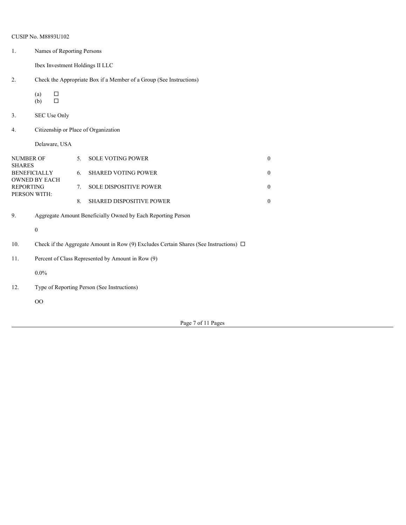|                                  | <b>CUSIP No. M8893U102</b>                                                                 |    |                                                                     |                  |  |
|----------------------------------|--------------------------------------------------------------------------------------------|----|---------------------------------------------------------------------|------------------|--|
| 1.                               | Names of Reporting Persons                                                                 |    |                                                                     |                  |  |
|                                  | Ibex Investment Holdings II LLC                                                            |    |                                                                     |                  |  |
| 2.                               |                                                                                            |    | Check the Appropriate Box if a Member of a Group (See Instructions) |                  |  |
|                                  | $\Box$<br>(a)<br>$\Box$<br>(b)                                                             |    |                                                                     |                  |  |
| 3.                               | SEC Use Only                                                                               |    |                                                                     |                  |  |
| 4.                               | Citizenship or Place of Organization                                                       |    |                                                                     |                  |  |
|                                  | Delaware, USA                                                                              |    |                                                                     |                  |  |
| NUMBER OF<br><b>SHARES</b>       |                                                                                            | 5. | <b>SOLE VOTING POWER</b>                                            | $\boldsymbol{0}$ |  |
|                                  | <b>BENEFICIALLY</b>                                                                        | 6. | <b>SHARED VOTING POWER</b>                                          | $\overline{0}$   |  |
| <b>REPORTING</b><br>PERSON WITH: | OWNED BY EACH                                                                              | 7. | SOLE DISPOSITIVE POWER                                              | $\boldsymbol{0}$ |  |
|                                  |                                                                                            | 8. | SHARED DISPOSITIVE POWER                                            | $\boldsymbol{0}$ |  |
| 9.                               | Aggregate Amount Beneficially Owned by Each Reporting Person                               |    |                                                                     |                  |  |
|                                  | $\boldsymbol{0}$                                                                           |    |                                                                     |                  |  |
| 10.                              | Check if the Aggregate Amount in Row (9) Excludes Certain Shares (See Instructions) $\Box$ |    |                                                                     |                  |  |
| 11.                              | Percent of Class Represented by Amount in Row (9)                                          |    |                                                                     |                  |  |
|                                  | $0.0\%$                                                                                    |    |                                                                     |                  |  |
| 12.                              | Type of Reporting Person (See Instructions)                                                |    |                                                                     |                  |  |
|                                  | OO                                                                                         |    |                                                                     |                  |  |
|                                  |                                                                                            |    |                                                                     |                  |  |

Page 7 of 11 Pages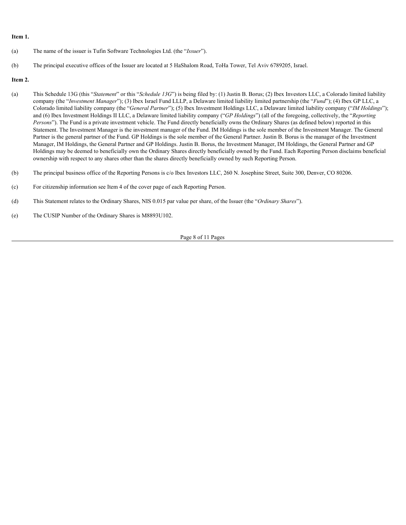# **Item 1.**

- (a) The name of the issuer is Tufin Software Technologies Ltd. (the "*Issuer*").
- (b) The principal executive offices of the Issuer are located at 5 HaShalom Road, ToHa Tower, Tel Aviv 6789205, Israel.

# **Item 2.**

- (a) This Schedule 13G (this "*Statement*" or this "*Schedule 13G*") is being filed by: (1) Justin B. Borus; (2) Ibex Investors LLC, a Colorado limited liability company (the "*Investment Manager*"); (3) Ibex Israel Fund LLLP, a Delaware limited liability limited partnership (the "*Fund*"); (4) Ibex GP LLC, a Colorado limited liability company (the "*General Partner*"); (5) Ibex Investment Holdings LLC, a Delaware limited liability company ("*IM Holdings*"); and (6) Ibex Investment Holdings II LLC, a Delaware limited liability company ("*GP Holdings*") (all of the foregoing, collectively, the "*Reporting Persons*"). The Fund is a private investment vehicle. The Fund directly beneficially owns the Ordinary Shares (as defined below) reported in this Statement. The Investment Manager is the investment manager of the Fund. IM Holdings is the sole member of the Investment Manager. The General Partner is the general partner of the Fund. GP Holdings is the sole member of the General Partner. Justin B. Borus is the manager of the Investment Manager, IM Holdings, the General Partner and GP Holdings. Justin B. Borus, the Investment Manager, IM Holdings, the General Partner and GP Holdings may be deemed to beneficially own the Ordinary Shares directly beneficially owned by the Fund. Each Reporting Person disclaims beneficial ownership with respect to any shares other than the shares directly beneficially owned by such Reporting Person.
- (b) The principal business office of the Reporting Persons is c/o Ibex Investors LLC, 260 N. Josephine Street, Suite 300, Denver, CO 80206.
- (c) For citizenship information see Item 4 of the cover page of each Reporting Person.
- (d) This Statement relates to the Ordinary Shares, NIS 0.015 par value per share, of the Issuer (the "*Ordinary Shares*").
- (e) The CUSIP Number of the Ordinary Shares is M8893U102.

#### Page 8 of 11 Pages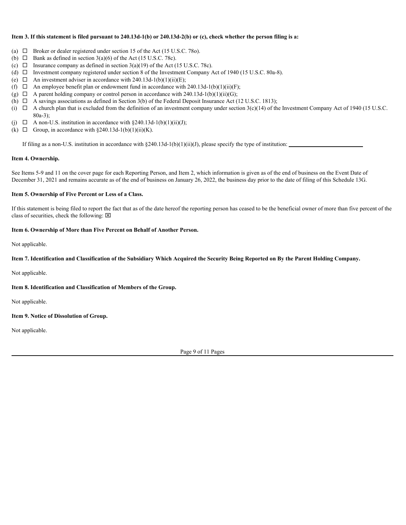# **Item 3. If this statement is filed pursuant to 240.13d-1(b) or 240.13d-2(b) or (c), check whether the person filing is a:**

- (a)  $\Box$  Broker or dealer registered under section 15 of the Act (15 U.S.C. 780).
- (b)  $\Box$  Bank as defined in section 3(a)(6) of the Act (15 U.S.C. 78c).
- (c)  $\Box$  Insurance company as defined in section 3(a)(19) of the Act (15 U.S.C. 78c).
- (d) ¨ Investment company registered under section 8 of the Investment Company Act of 1940 (15 U.S.C. 80a-8).
- (e)  $\Box$  An investment adviser in accordance with 240.13d-1(b)(1)(ii)(E);
- (f)  $\Box$  An employee benefit plan or endowment fund in accordance with 240.13d-1(b)(1)(ii)(F);
- (g)  $\Box$  A parent holding company or control person in accordance with 240.13d-1(b)(1)(ii)(G);
- (h)  $\Box$  A savings associations as defined in Section 3(b) of the Federal Deposit Insurance Act (12 U.S.C. 1813);
- (i)  $\Box$  A church plan that is excluded from the definition of an investment company under section 3(c)(14) of the Investment Company Act of 1940 (15 U.S.C. 80a-3);
- (i)  $\Box$  A non-U.S. institution in accordance with §240.13d-1(b)(1)(ii)(J);
- (k)  $\Box$  Group, in accordance with §240.13d-1(b)(1)(ii)(K).

If filing as a non-U.S. institution in accordance with  $\S 240.13d-1(b)(1)(ii)(J)$ , please specify the type of institution:

#### **Item 4. Ownership.**

See Items 5-9 and 11 on the cover page for each Reporting Person, and Item 2, which information is given as of the end of business on the Event Date of December 31, 2021 and remains accurate as of the end of business on January 26, 2022, the business day prior to the date of filing of this Schedule 13G.

# **Item 5. Ownership of Five Percent or Less of a Class.**

If this statement is being filed to report the fact that as of the date hereof the reporting person has ceased to be the beneficial owner of more than five percent of the class of securities, check the following:  $[**×**]$ 

# **Item 6. Ownership of More than Five Percent on Behalf of Another Person.**

Not applicable.

# **Item 7. Identification and Classification of the Subsidiary Which Acquired the Security Being Reported on By the Parent Holding Company.**

Not applicable.

# **Item 8. Identification and Classification of Members of the Group.**

Not applicable.

# **Item 9. Notice of Dissolution of Group.**

Not applicable.

Page 9 of 11 Pages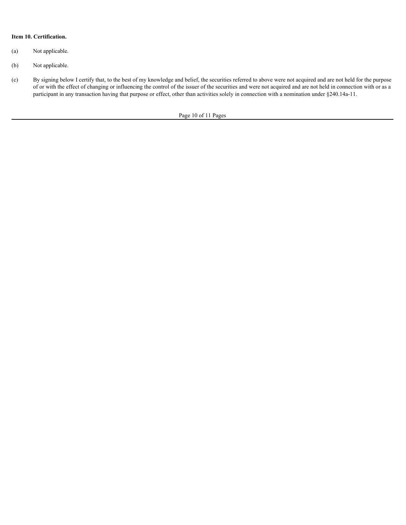# **Item 10. Certification.**

- (a) Not applicable.
- (b) Not applicable.
- (c) By signing below I certify that, to the best of my knowledge and belief, the securities referred to above were not acquired and are not held for the purpose of or with the effect of changing or influencing the control of the issuer of the securities and were not acquired and are not held in connection with or as a participant in any transaction having that purpose or effect, other than activities solely in connection with a nomination under §240.14a-11.

Page 10 of 11 Pages